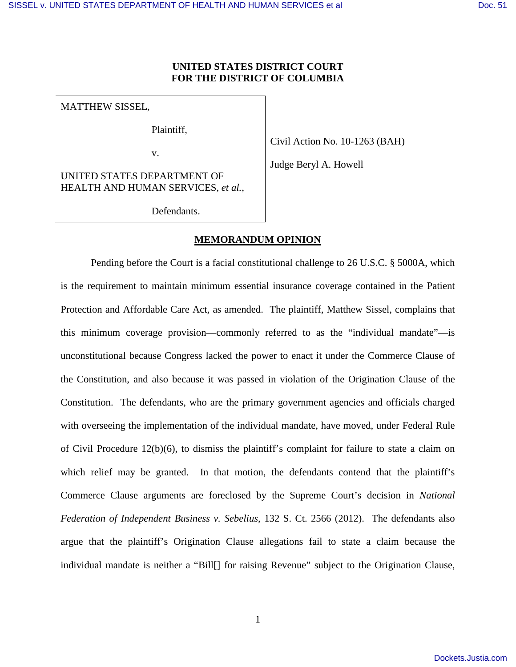## **UNITED STATES DISTRICT COURT FOR THE DISTRICT OF COLUMBIA**

MATTHEW SISSEL,

Plaintiff,

v.

UNITED STATES DEPARTMENT OF HEALTH AND HUMAN SERVICES, *et al.*, Civil Action No. 10-1263 (BAH)

Judge Beryl A. Howell

Defendants.

## **MEMORANDUM OPINION**

Pending before the Court is a facial constitutional challenge to 26 U.S.C. § 5000A, which is the requirement to maintain minimum essential insurance coverage contained in the Patient Protection and Affordable Care Act, as amended. The plaintiff, Matthew Sissel, complains that this minimum coverage provision—commonly referred to as the "individual mandate"—is unconstitutional because Congress lacked the power to enact it under the Commerce Clause of the Constitution, and also because it was passed in violation of the Origination Clause of the Constitution. The defendants, who are the primary government agencies and officials charged with overseeing the implementation of the individual mandate, have moved, under Federal Rule of Civil Procedure 12(b)(6), to dismiss the plaintiff's complaint for failure to state a claim on which relief may be granted. In that motion, the defendants contend that the plaintiff's Commerce Clause arguments are foreclosed by the Supreme Court's decision in *National Federation of Independent Business v. Sebelius*, 132 S. Ct. 2566 (2012). The defendants also argue that the plaintiff's Origination Clause allegations fail to state a claim because the individual mandate is neither a "Bill[] for raising Revenue" subject to the Origination Clause,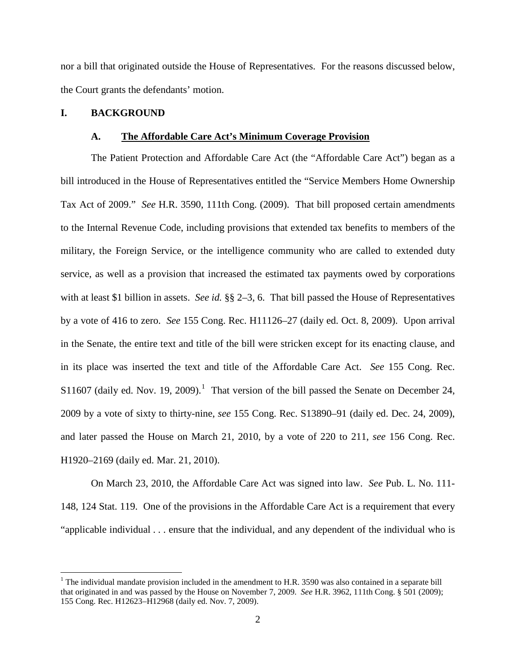nor a bill that originated outside the House of Representatives. For the reasons discussed below, the Court grants the defendants' motion.

# **I. BACKGROUND**

 $\overline{a}$ 

### **A. The Affordable Care Act's Minimum Coverage Provision**

The Patient Protection and Affordable Care Act (the "Affordable Care Act") began as a bill introduced in the House of Representatives entitled the "Service Members Home Ownership Tax Act of 2009." *See* H.R. 3590, 111th Cong. (2009). That bill proposed certain amendments to the Internal Revenue Code, including provisions that extended tax benefits to members of the military, the Foreign Service, or the intelligence community who are called to extended duty service, as well as a provision that increased the estimated tax payments owed by corporations with at least \$1 billion in assets. *See id.* §§ 2–3, 6. That bill passed the House of Representatives by a vote of 416 to zero. *See* 155 Cong. Rec. H11126–27 (daily ed. Oct. 8, 2009). Upon arrival in the Senate, the entire text and title of the bill were stricken except for its enacting clause, and in its place was inserted the text and title of the Affordable Care Act. *See* 155 Cong. Rec. S[1](#page-1-0)1607 (daily ed. Nov. 19, 2009).<sup>1</sup> That version of the bill passed the Senate on December 24, 2009 by a vote of sixty to thirty-nine, *see* 155 Cong. Rec. S13890–91 (daily ed. Dec. 24, 2009), and later passed the House on March 21, 2010, by a vote of 220 to 211, *see* 156 Cong. Rec. H1920–2169 (daily ed. Mar. 21, 2010).

On March 23, 2010, the Affordable Care Act was signed into law. *See* Pub. L. No. 111- 148, 124 Stat. 119. One of the provisions in the Affordable Care Act is a requirement that every "applicable individual . . . ensure that the individual, and any dependent of the individual who is

<span id="page-1-0"></span><sup>&</sup>lt;sup>1</sup> The individual mandate provision included in the amendment to H.R. 3590 was also contained in a separate bill that originated in and was passed by the House on November 7, 2009. *See* H.R. 3962, 111th Cong. § 501 (2009); 155 Cong. Rec. H12623–H12968 (daily ed. Nov. 7, 2009).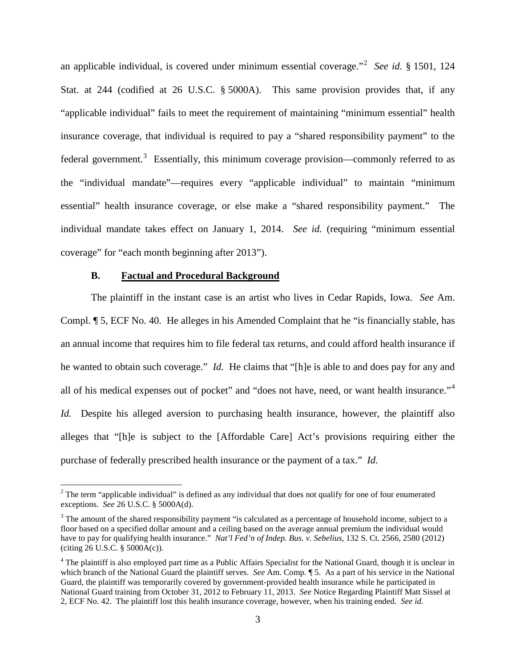an applicable individual, is covered under minimum essential coverage."[2](#page-2-0) *See id.* § 1501, 124 Stat. at 244 (codified at 26 U.S.C. § 5000A). This same provision provides that, if any "applicable individual" fails to meet the requirement of maintaining "minimum essential" health insurance coverage, that individual is required to pay a "shared responsibility payment" to the federal government.<sup>[3](#page-2-1)</sup> Essentially, this minimum coverage provision—commonly referred to as the "individual mandate"—requires every "applicable individual" to maintain "minimum essential" health insurance coverage, or else make a "shared responsibility payment." The individual mandate takes effect on January 1, 2014. *See id.* (requiring "minimum essential coverage" for "each month beginning after 2013").

### **B. Factual and Procedural Background**

 $\overline{a}$ 

The plaintiff in the instant case is an artist who lives in Cedar Rapids, Iowa. *See* Am. Compl. ¶ 5, ECF No. 40. He alleges in his Amended Complaint that he "is financially stable, has an annual income that requires him to file federal tax returns, and could afford health insurance if he wanted to obtain such coverage." *Id.* He claims that "[h]e is able to and does pay for any and all of his medical expenses out of pocket" and "does not have, need, or want health insurance."<sup>[4](#page-2-2)</sup> *Id.* Despite his alleged aversion to purchasing health insurance, however, the plaintiff also alleges that "[h]e is subject to the [Affordable Care] Act's provisions requiring either the purchase of federally prescribed health insurance or the payment of a tax." *Id.*

<span id="page-2-0"></span><sup>&</sup>lt;sup>2</sup> The term "applicable individual" is defined as any individual that does not qualify for one of four enumerated exceptions. *See* 26 U.S.C. § 5000A(d).

<span id="page-2-1"></span><sup>&</sup>lt;sup>3</sup> The amount of the shared responsibility payment "is calculated as a percentage of household income, subject to a floor based on a specified dollar amount and a ceiling based on the average annual premium the individual would have to pay for qualifying health insurance." *Nat'l Fed'n of Indep. Bus. v. Sebelius*, 132 S. Ct. 2566, 2580 (2012) (citing 26 U.S.C. § 5000A(c)).

<span id="page-2-2"></span><sup>&</sup>lt;sup>4</sup> The plaintiff is also employed part time as a Public Affairs Specialist for the National Guard, though it is unclear in which branch of the National Guard the plaintiff serves. *See* Am. Comp. ¶ 5. As a part of his service in the National Guard, the plaintiff was temporarily covered by government-provided health insurance while he participated in National Guard training from October 31, 2012 to February 11, 2013. *See* Notice Regarding Plaintiff Matt Sissel at 2, ECF No. 42. The plaintiff lost this health insurance coverage, however, when his training ended. *See id.*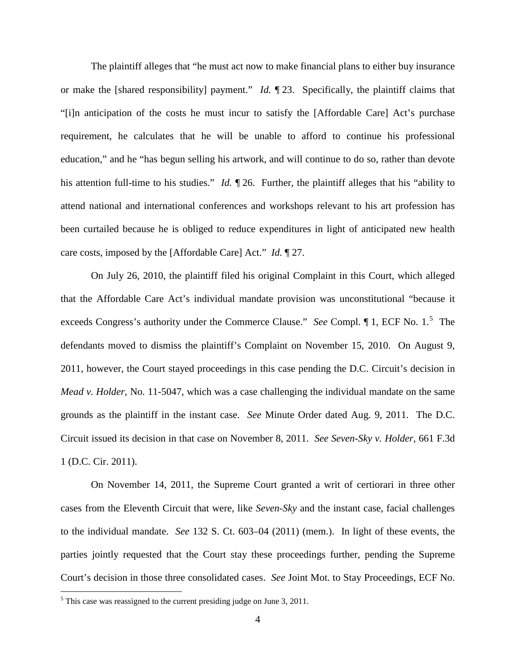The plaintiff alleges that "he must act now to make financial plans to either buy insurance or make the [shared responsibility] payment." *Id.* ¶ 23. Specifically, the plaintiff claims that "[i]n anticipation of the costs he must incur to satisfy the [Affordable Care] Act's purchase requirement, he calculates that he will be unable to afford to continue his professional education," and he "has begun selling his artwork, and will continue to do so, rather than devote his attention full-time to his studies." *Id.* ¶ 26. Further, the plaintiff alleges that his "ability to attend national and international conferences and workshops relevant to his art profession has been curtailed because he is obliged to reduce expenditures in light of anticipated new health care costs, imposed by the [Affordable Care] Act." *Id.* ¶ 27.

On July 26, 2010, the plaintiff filed his original Complaint in this Court, which alleged that the Affordable Care Act's individual mandate provision was unconstitutional "because it exceeds Congress's authority under the Commerce Clause." *See* Compl. 1, ECF No. 1.<sup>[5](#page-3-0)</sup> The defendants moved to dismiss the plaintiff's Complaint on November 15, 2010. On August 9, 2011, however, the Court stayed proceedings in this case pending the D.C. Circuit's decision in *Mead v. Holder*, No. 11-5047, which was a case challenging the individual mandate on the same grounds as the plaintiff in the instant case. *See* Minute Order dated Aug. 9, 2011. The D.C. Circuit issued its decision in that case on November 8, 2011. *See Seven-Sky v. Holder*, 661 F.3d 1 (D.C. Cir. 2011).

On November 14, 2011, the Supreme Court granted a writ of certiorari in three other cases from the Eleventh Circuit that were, like *Seven-Sky* and the instant case, facial challenges to the individual mandate. *See* 132 S. Ct. 603–04 (2011) (mem.). In light of these events, the parties jointly requested that the Court stay these proceedings further, pending the Supreme Court's decision in those three consolidated cases. *See* Joint Mot. to Stay Proceedings, ECF No.

<span id="page-3-0"></span><sup>&</sup>lt;sup>5</sup> This case was reassigned to the current presiding judge on June 3, 2011.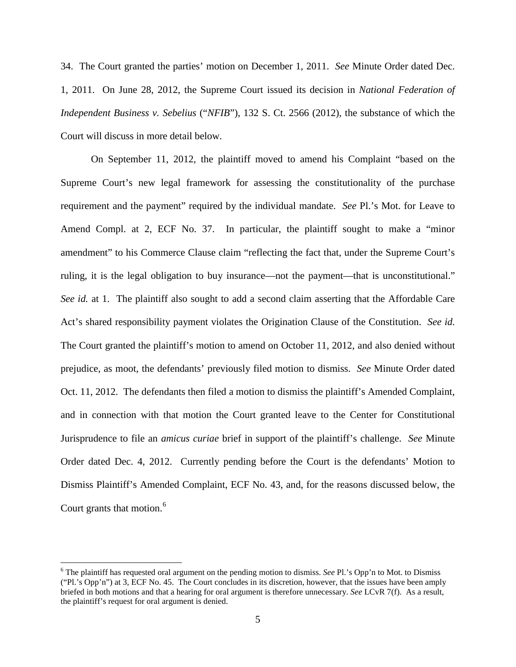34. The Court granted the parties' motion on December 1, 2011. *See* Minute Order dated Dec. 1, 2011. On June 28, 2012, the Supreme Court issued its decision in *National Federation of Independent Business v. Sebelius* ("*NFIB*"), 132 S. Ct. 2566 (2012), the substance of which the Court will discuss in more detail below.

On September 11, 2012, the plaintiff moved to amend his Complaint "based on the Supreme Court's new legal framework for assessing the constitutionality of the purchase requirement and the payment" required by the individual mandate. *See* Pl.'s Mot. for Leave to Amend Compl. at 2, ECF No. 37. In particular, the plaintiff sought to make a "minor amendment" to his Commerce Clause claim "reflecting the fact that, under the Supreme Court's ruling, it is the legal obligation to buy insurance—not the payment—that is unconstitutional." *See id.* at 1. The plaintiff also sought to add a second claim asserting that the Affordable Care Act's shared responsibility payment violates the Origination Clause of the Constitution. *See id.* The Court granted the plaintiff's motion to amend on October 11, 2012, and also denied without prejudice, as moot, the defendants' previously filed motion to dismiss. *See* Minute Order dated Oct. 11, 2012. The defendants then filed a motion to dismiss the plaintiff's Amended Complaint, and in connection with that motion the Court granted leave to the Center for Constitutional Jurisprudence to file an *amicus curiae* brief in support of the plaintiff's challenge. *See* Minute Order dated Dec. 4, 2012. Currently pending before the Court is the defendants' Motion to Dismiss Plaintiff's Amended Complaint, ECF No. 43, and, for the reasons discussed below, the Court grants that motion.<sup>[6](#page-4-0)</sup>

<span id="page-4-0"></span><sup>6</sup> The plaintiff has requested oral argument on the pending motion to dismiss. *See* Pl.'s Opp'n to Mot. to Dismiss ("Pl.'s Opp'n") at 3, ECF No. 45. The Court concludes in its discretion, however, that the issues have been amply briefed in both motions and that a hearing for oral argument is therefore unnecessary. *See* LCvR 7(f). As a result, the plaintiff's request for oral argument is denied.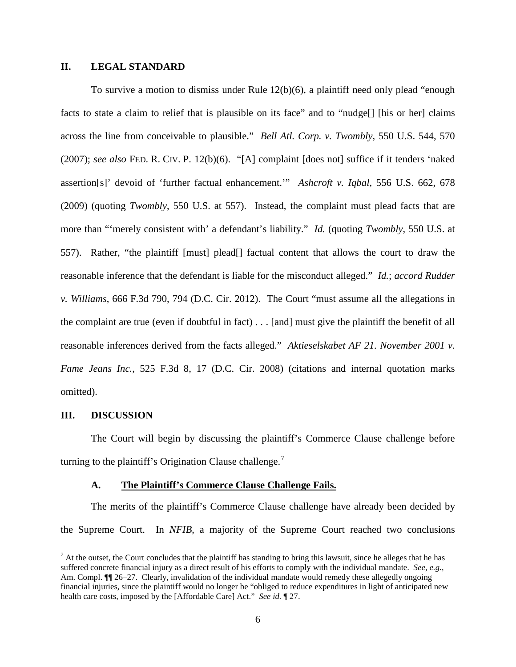# **II. LEGAL STANDARD**

To survive a motion to dismiss under Rule  $12(b)(6)$ , a plaintiff need only plead "enough facts to state a claim to relief that is plausible on its face" and to "nudge[] [his or her] claims across the line from conceivable to plausible." *Bell Atl. Corp. v. Twombly*, 550 U.S. 544, 570 (2007); *see also* FED. R. CIV. P. 12(b)(6). "[A] complaint [does not] suffice if it tenders 'naked assertion[s]' devoid of 'further factual enhancement.'" *Ashcroft v. Iqbal*, 556 U.S. 662, 678 (2009) (quoting *Twombly*, 550 U.S. at 557). Instead, the complaint must plead facts that are more than "'merely consistent with' a defendant's liability." *Id.* (quoting *Twombly*, 550 U.S. at 557). Rather, "the plaintiff [must] plead[] factual content that allows the court to draw the reasonable inference that the defendant is liable for the misconduct alleged." *Id.*; *accord Rudder v. Williams*, 666 F.3d 790, 794 (D.C. Cir. 2012). The Court "must assume all the allegations in the complaint are true (even if doubtful in fact) . . . [and] must give the plaintiff the benefit of all reasonable inferences derived from the facts alleged." *Aktieselskabet AF 21. November 2001 v. Fame Jeans Inc.*, 525 F.3d 8, 17 (D.C. Cir. 2008) (citations and internal quotation marks omitted).

#### **III. DISCUSSION**

<u>.</u>

The Court will begin by discussing the plaintiff's Commerce Clause challenge before turning to the plaintiff's Origination Clause challenge.<sup>[7](#page-5-0)</sup>

### **A. The Plaintiff's Commerce Clause Challenge Fails.**

The merits of the plaintiff's Commerce Clause challenge have already been decided by the Supreme Court. In *NFIB*, a majority of the Supreme Court reached two conclusions

<span id="page-5-0"></span> $<sup>7</sup>$  At the outset, the Court concludes that the plaintiff has standing to bring this lawsuit, since he alleges that he has</sup> suffered concrete financial injury as a direct result of his efforts to comply with the individual mandate. *See, e.g.*, Am. Compl.  $\P$ [26–27. Clearly, invalidation of the individual mandate would remedy these allegedly ongoing financial injuries, since the plaintiff would no longer be "obliged to reduce expenditures in light of anticipated new health care costs, imposed by the [Affordable Care] Act." *See id.* ¶ 27.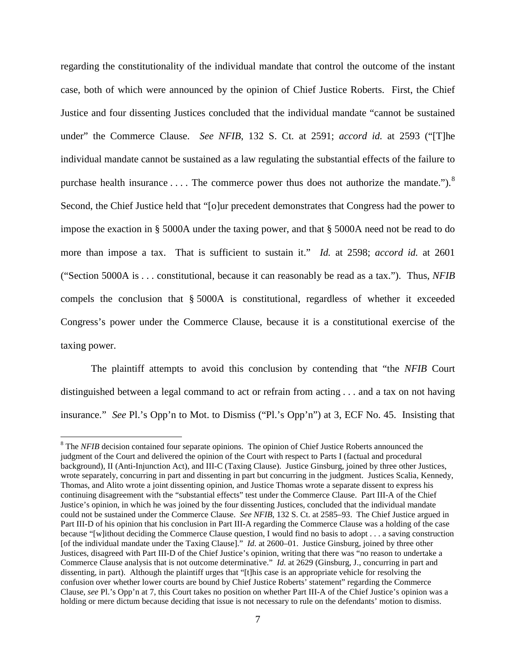regarding the constitutionality of the individual mandate that control the outcome of the instant case, both of which were announced by the opinion of Chief Justice Roberts. First, the Chief Justice and four dissenting Justices concluded that the individual mandate "cannot be sustained under" the Commerce Clause. *See NFIB*, 132 S. Ct. at 2591; *accord id.* at 2593 ("[T]he individual mandate cannot be sustained as a law regulating the substantial effects of the failure to purchase health insurance .... The commerce power thus does not authorize the mandate.").<sup>[8](#page-6-0)</sup> Second, the Chief Justice held that "[o]ur precedent demonstrates that Congress had the power to impose the exaction in § 5000A under the taxing power, and that § 5000A need not be read to do more than impose a tax. That is sufficient to sustain it." *Id.* at 2598; *accord id.* at 2601 ("Section 5000A is . . . constitutional, because it can reasonably be read as a tax."). Thus, *NFIB* compels the conclusion that § 5000A is constitutional, regardless of whether it exceeded Congress's power under the Commerce Clause, because it is a constitutional exercise of the taxing power.

The plaintiff attempts to avoid this conclusion by contending that "the *NFIB* Court distinguished between a legal command to act or refrain from acting . . . and a tax on not having insurance." *See* Pl.'s Opp'n to Mot. to Dismiss ("Pl.'s Opp'n") at 3, ECF No. 45. Insisting that

<u>.</u>

<span id="page-6-0"></span><sup>&</sup>lt;sup>8</sup> The *NFIB* decision contained four separate opinions. The opinion of Chief Justice Roberts announced the judgment of the Court and delivered the opinion of the Court with respect to Parts I (factual and procedural background), II (Anti-Injunction Act), and III-C (Taxing Clause). Justice Ginsburg, joined by three other Justices, wrote separately, concurring in part and dissenting in part but concurring in the judgment. Justices Scalia, Kennedy, Thomas, and Alito wrote a joint dissenting opinion, and Justice Thomas wrote a separate dissent to express his continuing disagreement with the "substantial effects" test under the Commerce Clause. Part III-A of the Chief Justice's opinion, in which he was joined by the four dissenting Justices, concluded that the individual mandate could not be sustained under the Commerce Clause. *See NFIB*, 132 S. Ct. at 2585–93. The Chief Justice argued in Part III-D of his opinion that his conclusion in Part III-A regarding the Commerce Clause was a holding of the case because "[w]ithout deciding the Commerce Clause question, I would find no basis to adopt . . . a saving construction [of the individual mandate under the Taxing Clause]." *Id.* at 2600–01. Justice Ginsburg, joined by three other Justices, disagreed with Part III-D of the Chief Justice's opinion, writing that there was "no reason to undertake a Commerce Clause analysis that is not outcome determinative." *Id.* at 2629 (Ginsburg, J., concurring in part and dissenting, in part). Although the plaintiff urges that "[t]his case is an appropriate vehicle for resolving the confusion over whether lower courts are bound by Chief Justice Roberts' statement" regarding the Commerce Clause, *see* Pl.'s Opp'n at 7, this Court takes no position on whether Part III-A of the Chief Justice's opinion was a holding or mere dictum because deciding that issue is not necessary to rule on the defendants' motion to dismiss.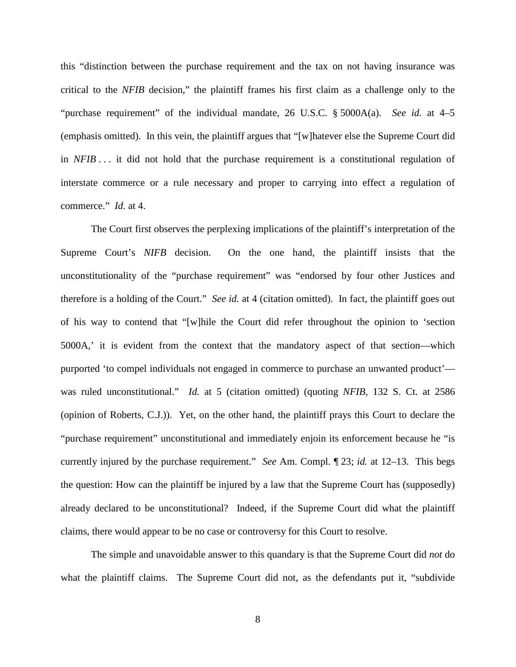this "distinction between the purchase requirement and the tax on not having insurance was critical to the *NFIB* decision," the plaintiff frames his first claim as a challenge only to the "purchase requirement" of the individual mandate, 26 U.S.C. § 5000A(a). *See id.* at 4–5 (emphasis omitted). In this vein, the plaintiff argues that "[w]hatever else the Supreme Court did in *NFIB* . . . it did not hold that the purchase requirement is a constitutional regulation of interstate commerce or a rule necessary and proper to carrying into effect a regulation of commerce." *Id.* at 4.

The Court first observes the perplexing implications of the plaintiff's interpretation of the Supreme Court's *NIFB* decision. On the one hand, the plaintiff insists that the unconstitutionality of the "purchase requirement" was "endorsed by four other Justices and therefore is a holding of the Court." *See id.* at 4 (citation omitted). In fact, the plaintiff goes out of his way to contend that "[w]hile the Court did refer throughout the opinion to 'section 5000A,' it is evident from the context that the mandatory aspect of that section—which purported 'to compel individuals not engaged in commerce to purchase an unwanted product' was ruled unconstitutional." *Id.* at 5 (citation omitted) (quoting *NFIB*, 132 S. Ct. at 2586 (opinion of Roberts, C.J.)). Yet, on the other hand, the plaintiff prays this Court to declare the "purchase requirement" unconstitutional and immediately enjoin its enforcement because he "is currently injured by the purchase requirement." *See* Am. Compl. ¶ 23; *id.* at 12–13. This begs the question: How can the plaintiff be injured by a law that the Supreme Court has (supposedly) already declared to be unconstitutional? Indeed, if the Supreme Court did what the plaintiff claims, there would appear to be no case or controversy for this Court to resolve.

The simple and unavoidable answer to this quandary is that the Supreme Court did *not* do what the plaintiff claims. The Supreme Court did not, as the defendants put it, "subdivide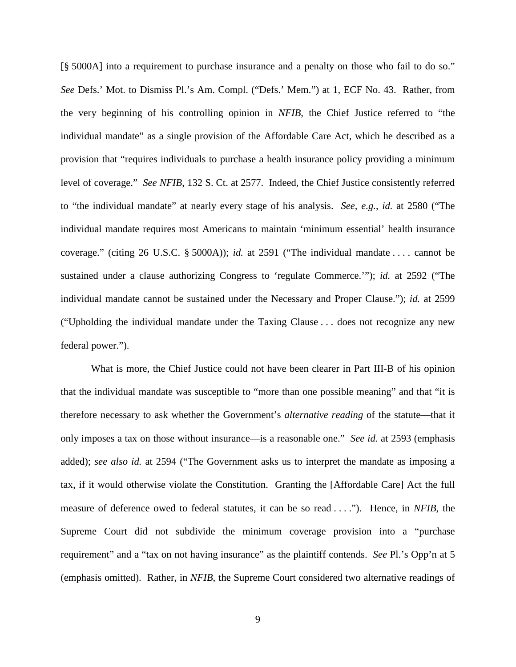[§ 5000A] into a requirement to purchase insurance and a penalty on those who fail to do so." *See* Defs.' Mot. to Dismiss Pl.'s Am. Compl. ("Defs.' Mem.") at 1, ECF No. 43. Rather, from the very beginning of his controlling opinion in *NFIB*, the Chief Justice referred to "the individual mandate" as a single provision of the Affordable Care Act, which he described as a provision that "requires individuals to purchase a health insurance policy providing a minimum level of coverage." *See NFIB*, 132 S. Ct. at 2577. Indeed, the Chief Justice consistently referred to "the individual mandate" at nearly every stage of his analysis. *See, e.g.*, *id.* at 2580 ("The individual mandate requires most Americans to maintain 'minimum essential' health insurance coverage." (citing 26 U.S.C. § 5000A)); *id.* at 2591 ("The individual mandate . . . . cannot be sustained under a clause authorizing Congress to 'regulate Commerce.'"); *id.* at 2592 ("The individual mandate cannot be sustained under the Necessary and Proper Clause."); *id.* at 2599 ("Upholding the individual mandate under the Taxing Clause . . . does not recognize any new federal power.").

What is more, the Chief Justice could not have been clearer in Part III-B of his opinion that the individual mandate was susceptible to "more than one possible meaning" and that "it is therefore necessary to ask whether the Government's *alternative reading* of the statute—that it only imposes a tax on those without insurance—is a reasonable one." *See id.* at 2593 (emphasis added); *see also id.* at 2594 ("The Government asks us to interpret the mandate as imposing a tax, if it would otherwise violate the Constitution. Granting the [Affordable Care] Act the full measure of deference owed to federal statutes, it can be so read . . . ."). Hence, in *NFIB*, the Supreme Court did not subdivide the minimum coverage provision into a "purchase requirement" and a "tax on not having insurance" as the plaintiff contends. *See* Pl.'s Opp'n at 5 (emphasis omitted). Rather, in *NFIB*, the Supreme Court considered two alternative readings of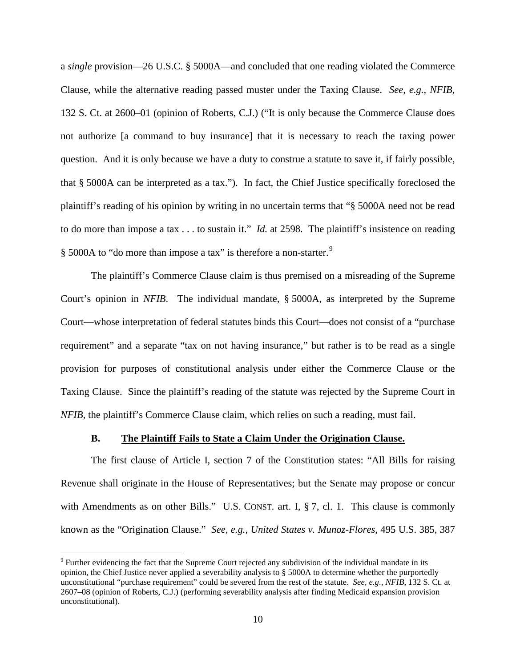a *single* provision—26 U.S.C. § 5000A—and concluded that one reading violated the Commerce Clause, while the alternative reading passed muster under the Taxing Clause. *See, e.g.*, *NFIB*, 132 S. Ct. at 2600–01 (opinion of Roberts, C.J.) ("It is only because the Commerce Clause does not authorize [a command to buy insurance] that it is necessary to reach the taxing power question. And it is only because we have a duty to construe a statute to save it, if fairly possible, that § 5000A can be interpreted as a tax."). In fact, the Chief Justice specifically foreclosed the plaintiff's reading of his opinion by writing in no uncertain terms that "§ 5000A need not be read to do more than impose a tax . . . to sustain it." *Id.* at 2598. The plaintiff's insistence on reading § 5000A to "do more than impose a tax" is therefore a non-starter.<sup>[9](#page-9-0)</sup>

The plaintiff's Commerce Clause claim is thus premised on a misreading of the Supreme Court's opinion in *NFIB*. The individual mandate, § 5000A, as interpreted by the Supreme Court—whose interpretation of federal statutes binds this Court—does not consist of a "purchase requirement" and a separate "tax on not having insurance," but rather is to be read as a single provision for purposes of constitutional analysis under either the Commerce Clause or the Taxing Clause. Since the plaintiff's reading of the statute was rejected by the Supreme Court in *NFIB*, the plaintiff's Commerce Clause claim, which relies on such a reading, must fail.

## **B. The Plaintiff Fails to State a Claim Under the Origination Clause.**

The first clause of Article I, section 7 of the Constitution states: "All Bills for raising Revenue shall originate in the House of Representatives; but the Senate may propose or concur with Amendments as on other Bills." U.S. CONST. art. I, § 7, cl. 1. This clause is commonly known as the "Origination Clause." *See, e.g.*, *United States v. Munoz-Flores*, 495 U.S. 385, 387

<span id="page-9-0"></span><sup>&</sup>lt;sup>9</sup> Further evidencing the fact that the Supreme Court rejected any subdivision of the individual mandate in its opinion, the Chief Justice never applied a severability analysis to § 5000A to determine whether the purportedly unconstitutional "purchase requirement" could be severed from the rest of the statute. *See, e.g.*, *NFIB*, 132 S. Ct. at 2607–08 (opinion of Roberts, C.J.) (performing severability analysis after finding Medicaid expansion provision unconstitutional).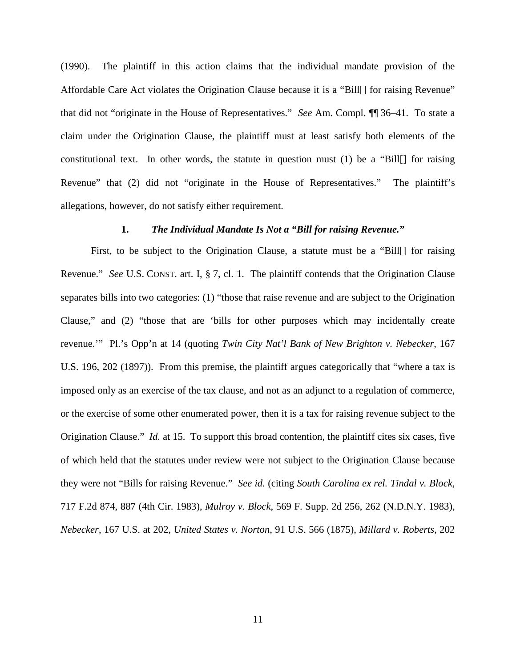(1990). The plaintiff in this action claims that the individual mandate provision of the Affordable Care Act violates the Origination Clause because it is a "Bill[] for raising Revenue" that did not "originate in the House of Representatives." *See* Am. Compl. ¶¶ 36–41. To state a claim under the Origination Clause, the plaintiff must at least satisfy both elements of the constitutional text. In other words, the statute in question must (1) be a "Bill[] for raising Revenue" that (2) did not "originate in the House of Representatives." The plaintiff's allegations, however, do not satisfy either requirement.

## **1.** *The Individual Mandate Is Not a "Bill for raising Revenue."*

First, to be subject to the Origination Clause, a statute must be a "Bill[] for raising Revenue." *See* U.S. CONST. art. I, § 7, cl. 1. The plaintiff contends that the Origination Clause separates bills into two categories: (1) "those that raise revenue and are subject to the Origination Clause," and (2) "those that are 'bills for other purposes which may incidentally create revenue.'" Pl.'s Opp'n at 14 (quoting *Twin City Nat'l Bank of New Brighton v. Nebecker*, 167 U.S. 196, 202 (1897)). From this premise, the plaintiff argues categorically that "where a tax is imposed only as an exercise of the tax clause, and not as an adjunct to a regulation of commerce, or the exercise of some other enumerated power, then it is a tax for raising revenue subject to the Origination Clause." *Id.* at 15. To support this broad contention, the plaintiff cites six cases, five of which held that the statutes under review were not subject to the Origination Clause because they were not "Bills for raising Revenue." *See id.* (citing *South Carolina ex rel. Tindal v. Block*, 717 F.2d 874, 887 (4th Cir. 1983), *Mulroy v. Block*, 569 F. Supp. 2d 256, 262 (N.D.N.Y. 1983), *Nebecker*, 167 U.S. at 202, *United States v. Norton*, 91 U.S. 566 (1875), *Millard v. Roberts*, 202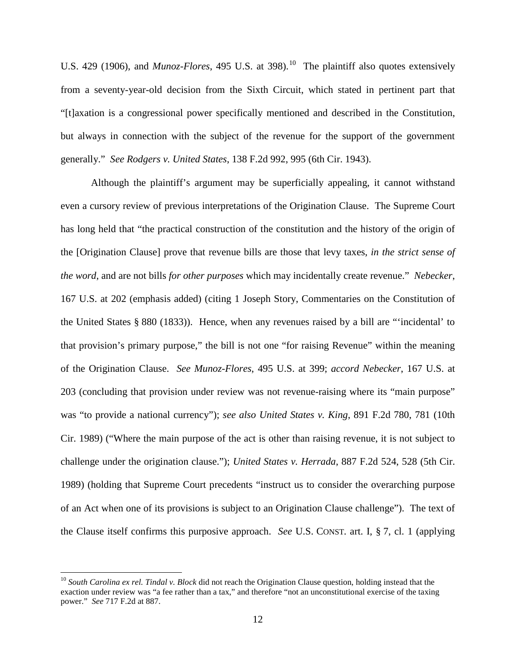U.S. 429 (1906), and *Munoz-Flores*, 495 U.S. at 398).<sup>[10](#page-11-0)</sup> The plaintiff also quotes extensively from a seventy-year-old decision from the Sixth Circuit, which stated in pertinent part that "[t]axation is a congressional power specifically mentioned and described in the Constitution, but always in connection with the subject of the revenue for the support of the government generally." *See Rodgers v. United States*, 138 F.2d 992, 995 (6th Cir. 1943).

Although the plaintiff's argument may be superficially appealing, it cannot withstand even a cursory review of previous interpretations of the Origination Clause. The Supreme Court has long held that "the practical construction of the constitution and the history of the origin of the [Origination Clause] prove that revenue bills are those that levy taxes, *in the strict sense of the word*, and are not bills *for other purposes* which may incidentally create revenue." *Nebecker*, 167 U.S. at 202 (emphasis added) (citing 1 Joseph Story, Commentaries on the Constitution of the United States § 880 (1833)). Hence, when any revenues raised by a bill are "'incidental' to that provision's primary purpose," the bill is not one "for raising Revenue" within the meaning of the Origination Clause. *See Munoz-Flores*, 495 U.S. at 399; *accord Nebecker*, 167 U.S. at 203 (concluding that provision under review was not revenue-raising where its "main purpose" was "to provide a national currency"); *see also United States v. King*, 891 F.2d 780, 781 (10th Cir. 1989) ("Where the main purpose of the act is other than raising revenue, it is not subject to challenge under the origination clause."); *United States v. Herrada*, 887 F.2d 524, 528 (5th Cir. 1989) (holding that Supreme Court precedents "instruct us to consider the overarching purpose of an Act when one of its provisions is subject to an Origination Clause challenge"). The text of the Clause itself confirms this purposive approach. *See* U.S. CONST. art. I, § 7, cl. 1 (applying

<span id="page-11-0"></span><sup>10</sup> *South Carolina ex rel. Tindal v. Block* did not reach the Origination Clause question, holding instead that the exaction under review was "a fee rather than a tax," and therefore "not an unconstitutional exercise of the taxing power." *See* 717 F.2d at 887.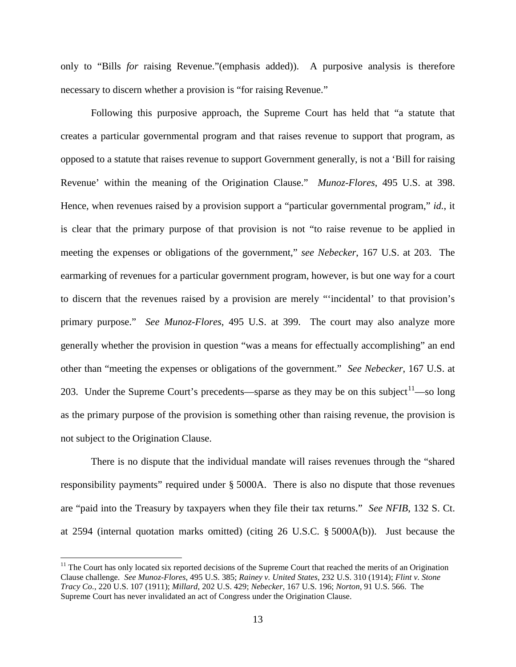only to "Bills *for* raising Revenue."(emphasis added)). A purposive analysis is therefore necessary to discern whether a provision is "for raising Revenue."

Following this purposive approach, the Supreme Court has held that "a statute that creates a particular governmental program and that raises revenue to support that program, as opposed to a statute that raises revenue to support Government generally, is not a 'Bill for raising Revenue' within the meaning of the Origination Clause." *Munoz-Flores*, 495 U.S. at 398. Hence, when revenues raised by a provision support a "particular governmental program," *id.*, it is clear that the primary purpose of that provision is not "to raise revenue to be applied in meeting the expenses or obligations of the government," *see Nebecker*, 167 U.S. at 203. The earmarking of revenues for a particular government program, however, is but one way for a court to discern that the revenues raised by a provision are merely "'incidental' to that provision's primary purpose." *See Munoz-Flores*, 495 U.S. at 399. The court may also analyze more generally whether the provision in question "was a means for effectually accomplishing" an end other than "meeting the expenses or obligations of the government." *See Nebecker*, 167 U.S. at 203. Under the Supreme Court's precedents—sparse as they may be on this subject<sup>[11](#page-12-0)</sup>—so long as the primary purpose of the provision is something other than raising revenue, the provision is not subject to the Origination Clause.

There is no dispute that the individual mandate will raises revenues through the "shared responsibility payments" required under § 5000A. There is also no dispute that those revenues are "paid into the Treasury by taxpayers when they file their tax returns." *See NFIB*, 132 S. Ct. at 2594 (internal quotation marks omitted) (citing 26 U.S.C. § 5000A(b)). Just because the

<u>.</u>

<span id="page-12-0"></span> $<sup>11</sup>$  The Court has only located six reported decisions of the Supreme Court that reached the merits of an Origination</sup> Clause challenge. *See Munoz-Flores*, 495 U.S. 385; *Rainey v. United States*, 232 U.S. 310 (1914); *Flint v. Stone Tracy Co.*, 220 U.S. 107 (1911); *Millard*, 202 U.S. 429; *Nebecker*, 167 U.S. 196; *Norton*, 91 U.S. 566. The Supreme Court has never invalidated an act of Congress under the Origination Clause.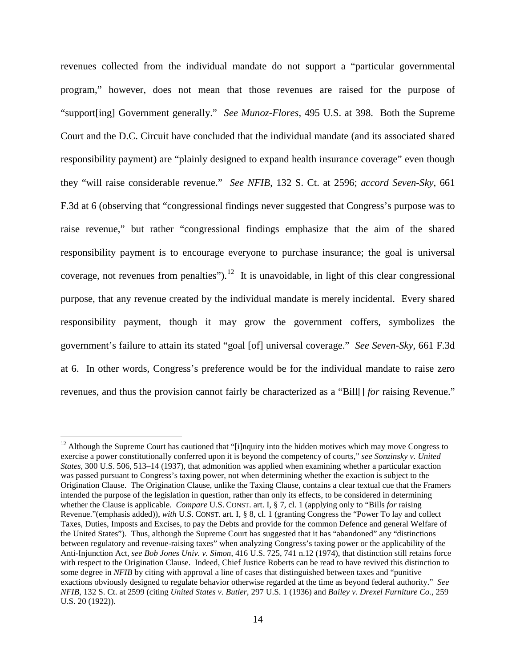revenues collected from the individual mandate do not support a "particular governmental program," however, does not mean that those revenues are raised for the purpose of "support[ing] Government generally." *See Munoz-Flores*, 495 U.S. at 398. Both the Supreme Court and the D.C. Circuit have concluded that the individual mandate (and its associated shared responsibility payment) are "plainly designed to expand health insurance coverage" even though they "will raise considerable revenue." *See NFIB*, 132 S. Ct. at 2596; *accord Seven-Sky*, 661 F.3d at 6 (observing that "congressional findings never suggested that Congress's purpose was to raise revenue," but rather "congressional findings emphasize that the aim of the shared responsibility payment is to encourage everyone to purchase insurance; the goal is universal coverage, not revenues from penalties").<sup>[12](#page-13-0)</sup> It is unavoidable, in light of this clear congressional purpose, that any revenue created by the individual mandate is merely incidental. Every shared responsibility payment, though it may grow the government coffers, symbolizes the government's failure to attain its stated "goal [of] universal coverage." *See Seven-Sky*, 661 F.3d at 6. In other words, Congress's preference would be for the individual mandate to raise zero revenues, and thus the provision cannot fairly be characterized as a "Bill[] *for* raising Revenue."

<span id="page-13-0"></span> $12$  Although the Supreme Court has cautioned that "[i]nquiry into the hidden motives which may move Congress to exercise a power constitutionally conferred upon it is beyond the competency of courts," *see Sonzinsky v. United States*, 300 U.S. 506, 513–14 (1937), that admonition was applied when examining whether a particular exaction was passed pursuant to Congress's taxing power, not when determining whether the exaction is subject to the Origination Clause. The Origination Clause, unlike the Taxing Clause, contains a clear textual cue that the Framers intended the purpose of the legislation in question, rather than only its effects, to be considered in determining whether the Clause is applicable. *Compare* U.S. CONST. art. I, § 7, cl. 1 (applying only to "Bills *for* raising Revenue."(emphasis added)), *with* U.S. CONST. art. I, § 8, cl. 1 (granting Congress the "Power To lay and collect Taxes, Duties, Imposts and Excises, to pay the Debts and provide for the common Defence and general Welfare of the United States"). Thus, although the Supreme Court has suggested that it has "abandoned" any "distinctions between regulatory and revenue-raising taxes" when analyzing Congress's taxing power or the applicability of the Anti-Injunction Act, *see Bob Jones Univ. v. Simon*, 416 U.S. 725, 741 n.12 (1974), that distinction still retains force with respect to the Origination Clause. Indeed, Chief Justice Roberts can be read to have revived this distinction to some degree in *NFIB* by citing with approval a line of cases that distinguished between taxes and "punitive" exactions obviously designed to regulate behavior otherwise regarded at the time as beyond federal authority." *See NFIB*, 132 S. Ct. at 2599 (citing *United States v. Butler*, 297 U.S. 1 (1936) and *Bailey v. Drexel Furniture Co.*, 259 U.S. 20 (1922)).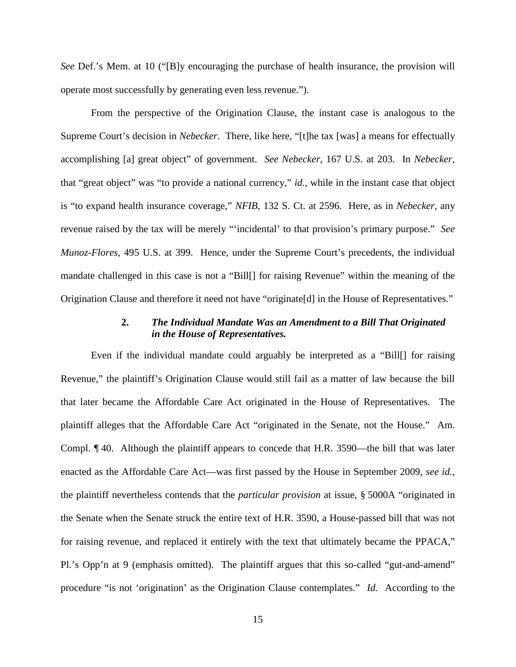*See* Def.'s Mem. at 10 ("[B]y encouraging the purchase of health insurance, the provision will operate most successfully by generating even less revenue.").

From the perspective of the Origination Clause, the instant case is analogous to the Supreme Court's decision in *Nebecker*. There, like here, "[t]he tax [was] a means for effectually accomplishing [a] great object" of government. *See Nebecker*, 167 U.S. at 203. In *Nebecker*, that "great object" was "to provide a national currency," *id.*, while in the instant case that object is "to expand health insurance coverage," *NFIB*, 132 S. Ct. at 2596. Here, as in *Nebecker*, any revenue raised by the tax will be merely "'incidental' to that provision's primary purpose." *See Munoz-Flores*, 495 U.S. at 399. Hence, under the Supreme Court's precedents, the individual mandate challenged in this case is not a "Bill[] for raising Revenue" within the meaning of the Origination Clause and therefore it need not have "originate[d] in the House of Representatives."

# **2.** *The Individual Mandate Was an Amendment to a Bill That Originated in the House of Representatives.*

Even if the individual mandate could arguably be interpreted as a "Bill[] for raising Revenue," the plaintiff's Origination Clause would still fail as a matter of law because the bill that later became the Affordable Care Act originated in the House of Representatives. The plaintiff alleges that the Affordable Care Act "originated in the Senate, not the House." Am. Compl. ¶ 40. Although the plaintiff appears to concede that H.R. 3590—the bill that was later enacted as the Affordable Care Act—was first passed by the House in September 2009, *see id.*, the plaintiff nevertheless contends that the *particular provision* at issue, § 5000A "originated in the Senate when the Senate struck the entire text of H.R. 3590, a House-passed bill that was not for raising revenue, and replaced it entirely with the text that ultimately became the PPACA," Pl.'s Opp'n at 9 (emphasis omitted). The plaintiff argues that this so-called "gut-and-amend" procedure "is not 'origination' as the Origination Clause contemplates." *Id.* According to the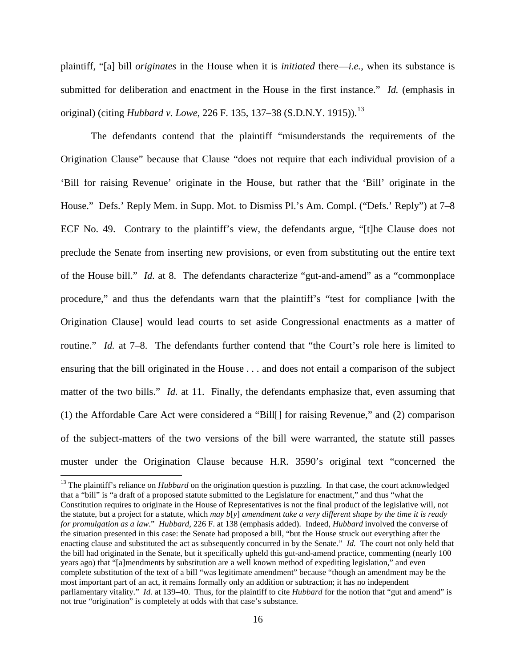plaintiff, "[a] bill *originates* in the House when it is *initiated* there—*i.e.*, when its substance is submitted for deliberation and enactment in the House in the first instance." *Id.* (emphasis in original) (citing *Hubbard v. Lowe*, 226 F. [13](#page-15-0)5, 137–38 (S.D.N.Y. 1915)).<sup>13</sup>

The defendants contend that the plaintiff "misunderstands the requirements of the Origination Clause" because that Clause "does not require that each individual provision of a 'Bill for raising Revenue' originate in the House, but rather that the 'Bill' originate in the House." Defs.' Reply Mem. in Supp. Mot. to Dismiss Pl.'s Am. Compl. ("Defs.' Reply") at 7–8 ECF No. 49. Contrary to the plaintiff's view, the defendants argue, "[t]he Clause does not preclude the Senate from inserting new provisions, or even from substituting out the entire text of the House bill." *Id.* at 8. The defendants characterize "gut-and-amend" as a "commonplace procedure," and thus the defendants warn that the plaintiff's "test for compliance [with the Origination Clause] would lead courts to set aside Congressional enactments as a matter of routine." *Id.* at 7–8. The defendants further contend that "the Court's role here is limited to ensuring that the bill originated in the House . . . and does not entail a comparison of the subject matter of the two bills." *Id.* at 11. Finally, the defendants emphasize that, even assuming that (1) the Affordable Care Act were considered a "Bill[] for raising Revenue," and (2) comparison of the subject-matters of the two versions of the bill were warranted, the statute still passes muster under the Origination Clause because H.R. 3590's original text "concerned the

<u>.</u>

<span id="page-15-0"></span><sup>&</sup>lt;sup>13</sup> The plaintiff's reliance on *Hubbard* on the origination question is puzzling. In that case, the court acknowledged that a "bill" is "a draft of a proposed statute submitted to the Legislature for enactment," and thus "what the Constitution requires to originate in the House of Representatives is not the final product of the legislative will, not the statute, but a project for a statute, which *may b*[*y*] *amendment take a very different shape by the time it is ready for promulgation as a law*." *Hubbard*, 226 F. at 138 (emphasis added). Indeed, *Hubbard* involved the converse of the situation presented in this case: the Senate had proposed a bill, "but the House struck out everything after the enacting clause and substituted the act as subsequently concurred in by the Senate." *Id.* The court not only held that the bill had originated in the Senate, but it specifically upheld this gut-and-amend practice, commenting (nearly 100 years ago) that "[a]mendments by substitution are a well known method of expediting legislation," and even complete substitution of the text of a bill "was legitimate amendment" because "though an amendment may be the most important part of an act, it remains formally only an addition or subtraction; it has no independent parliamentary vitality." *Id.* at 139–40. Thus, for the plaintiff to cite *Hubbard* for the notion that "gut and amend" is not true "origination" is completely at odds with that case's substance.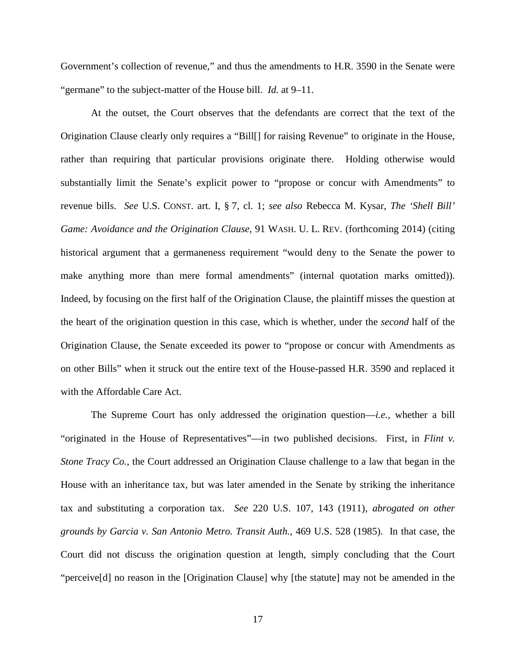Government's collection of revenue," and thus the amendments to H.R. 3590 in the Senate were "germane" to the subject-matter of the House bill. *Id.* at 9–11.

At the outset, the Court observes that the defendants are correct that the text of the Origination Clause clearly only requires a "Bill[] for raising Revenue" to originate in the House, rather than requiring that particular provisions originate there. Holding otherwise would substantially limit the Senate's explicit power to "propose or concur with Amendments" to revenue bills. *See* U.S. CONST. art. I, § 7, cl. 1; *see also* Rebecca M. Kysar, *The 'Shell Bill' Game: Avoidance and the Origination Clause*, 91 WASH. U. L. REV. (forthcoming 2014) (citing historical argument that a germaneness requirement "would deny to the Senate the power to make anything more than mere formal amendments" (internal quotation marks omitted)). Indeed, by focusing on the first half of the Origination Clause, the plaintiff misses the question at the heart of the origination question in this case, which is whether, under the *second* half of the Origination Clause, the Senate exceeded its power to "propose or concur with Amendments as on other Bills" when it struck out the entire text of the House-passed H.R. 3590 and replaced it with the Affordable Care Act.

The Supreme Court has only addressed the origination question—*i.e.*, whether a bill "originated in the House of Representatives"—in two published decisions. First, in *Flint v. Stone Tracy Co.*, the Court addressed an Origination Clause challenge to a law that began in the House with an inheritance tax, but was later amended in the Senate by striking the inheritance tax and substituting a corporation tax. *See* 220 U.S. 107, 143 (1911), *abrogated on other grounds by Garcia v. San Antonio Metro. Transit Auth.*, 469 U.S. 528 (1985). In that case, the Court did not discuss the origination question at length, simply concluding that the Court "perceive[d] no reason in the [Origination Clause] why [the statute] may not be amended in the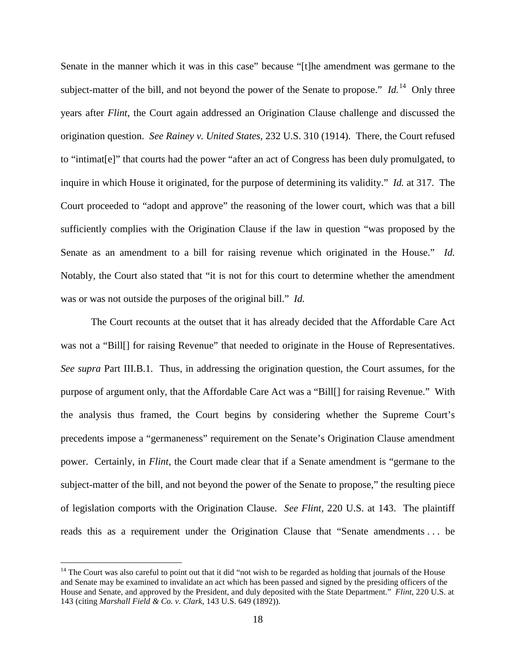Senate in the manner which it was in this case" because "[t]he amendment was germane to the subject-matter of the bill, and not beyond the power of the Senate to propose." *Id.*<sup>[14](#page-17-0)</sup> Only three years after *Flint*, the Court again addressed an Origination Clause challenge and discussed the origination question. *See Rainey v. United States*, 232 U.S. 310 (1914). There, the Court refused to "intimat[e]" that courts had the power "after an act of Congress has been duly promulgated, to inquire in which House it originated, for the purpose of determining its validity." *Id.* at 317. The Court proceeded to "adopt and approve" the reasoning of the lower court, which was that a bill sufficiently complies with the Origination Clause if the law in question "was proposed by the Senate as an amendment to a bill for raising revenue which originated in the House." *Id.* Notably, the Court also stated that "it is not for this court to determine whether the amendment was or was not outside the purposes of the original bill." *Id.*

The Court recounts at the outset that it has already decided that the Affordable Care Act was not a "Bill[] for raising Revenue" that needed to originate in the House of Representatives. *See supra* Part III.B.1. Thus, in addressing the origination question, the Court assumes, for the purpose of argument only, that the Affordable Care Act was a "Bill[] for raising Revenue." With the analysis thus framed, the Court begins by considering whether the Supreme Court's precedents impose a "germaneness" requirement on the Senate's Origination Clause amendment power. Certainly, in *Flint*, the Court made clear that if a Senate amendment is "germane to the subject-matter of the bill, and not beyond the power of the Senate to propose," the resulting piece of legislation comports with the Origination Clause. *See Flint*, 220 U.S. at 143. The plaintiff reads this as a requirement under the Origination Clause that "Senate amendments . . . be

<span id="page-17-0"></span><sup>&</sup>lt;sup>14</sup> The Court was also careful to point out that it did "not wish to be regarded as holding that journals of the House and Senate may be examined to invalidate an act which has been passed and signed by the presiding officers of the House and Senate, and approved by the President, and duly deposited with the State Department." *Flint*, 220 U.S. at 143 (citing *Marshall Field & Co. v. Clark*, 143 U.S. 649 (1892)).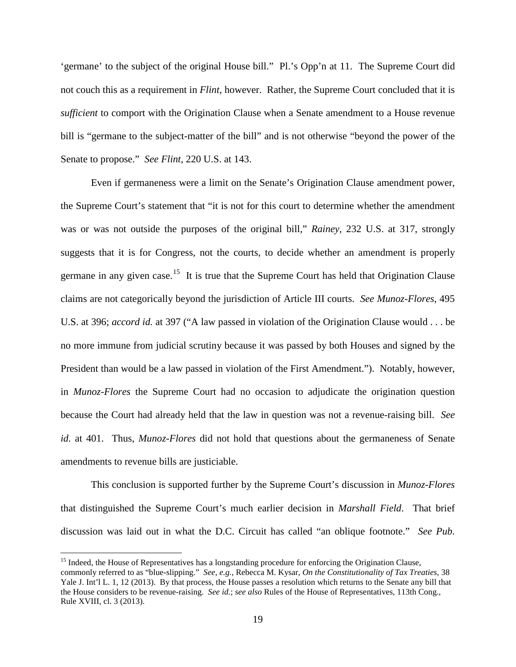'germane' to the subject of the original House bill." Pl.'s Opp'n at 11. The Supreme Court did not couch this as a requirement in *Flint*, however. Rather, the Supreme Court concluded that it is *sufficient* to comport with the Origination Clause when a Senate amendment to a House revenue bill is "germane to the subject-matter of the bill" and is not otherwise "beyond the power of the Senate to propose." *See Flint*, 220 U.S. at 143.

Even if germaneness were a limit on the Senate's Origination Clause amendment power, the Supreme Court's statement that "it is not for this court to determine whether the amendment was or was not outside the purposes of the original bill," *Rainey*, 232 U.S. at 317, strongly suggests that it is for Congress, not the courts, to decide whether an amendment is properly germane in any given case.<sup>[15](#page-18-0)</sup> It is true that the Supreme Court has held that Origination Clause claims are not categorically beyond the jurisdiction of Article III courts. *See Munoz-Flores*, 495 U.S. at 396; *accord id.* at 397 ("A law passed in violation of the Origination Clause would . . . be no more immune from judicial scrutiny because it was passed by both Houses and signed by the President than would be a law passed in violation of the First Amendment."). Notably, however, in *Munoz-Flores* the Supreme Court had no occasion to adjudicate the origination question because the Court had already held that the law in question was not a revenue-raising bill. *See id.* at 401. Thus, *Munoz-Flores* did not hold that questions about the germaneness of Senate amendments to revenue bills are justiciable.

This conclusion is supported further by the Supreme Court's discussion in *Munoz-Flores* that distinguished the Supreme Court's much earlier decision in *Marshall Field*. That brief discussion was laid out in what the D.C. Circuit has called "an oblique footnote." *See Pub.* 

<span id="page-18-0"></span><sup>&</sup>lt;sup>15</sup> Indeed, the House of Representatives has a longstanding procedure for enforcing the Origination Clause, commonly referred to as "blue-slipping." *See, e.g.*, Rebecca M. Kysar, *On the Constitutionality of Tax Treaties*, 38 Yale J. Int'l L. 1, 12 (2013). By that process, the House passes a resolution which returns to the Senate any bill that the House considers to be revenue-raising. *See id.*; *see also* Rules of the House of Representatives, 113th Cong., Rule XVIII, cl. 3 (2013).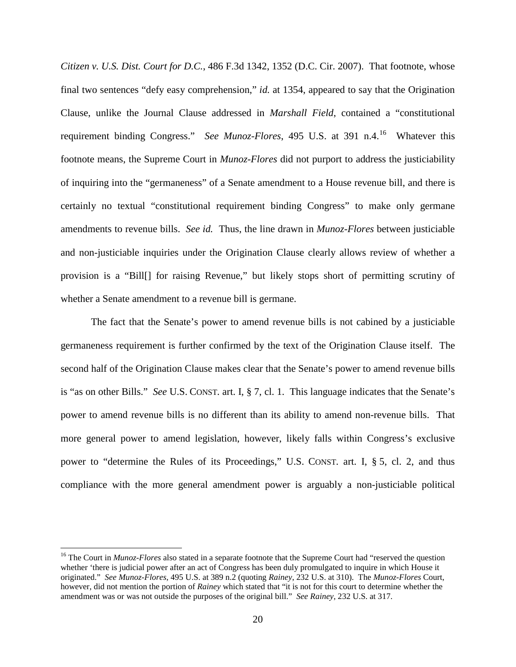*Citizen v. U.S. Dist. Court for D.C.*, 486 F.3d 1342, 1352 (D.C. Cir. 2007). That footnote, whose final two sentences "defy easy comprehension," *id.* at 1354, appeared to say that the Origination Clause, unlike the Journal Clause addressed in *Marshall Field*, contained a "constitutional requirement binding Congress." *See Munoz-Flores*, 495 U.S. at 391 n.4.<sup>[16](#page-19-0)</sup> Whatever this footnote means, the Supreme Court in *Munoz-Flores* did not purport to address the justiciability of inquiring into the "germaneness" of a Senate amendment to a House revenue bill, and there is certainly no textual "constitutional requirement binding Congress" to make only germane amendments to revenue bills. *See id.* Thus, the line drawn in *Munoz-Flores* between justiciable and non-justiciable inquiries under the Origination Clause clearly allows review of whether a provision is a "Bill[] for raising Revenue," but likely stops short of permitting scrutiny of whether a Senate amendment to a revenue bill is germane.

The fact that the Senate's power to amend revenue bills is not cabined by a justiciable germaneness requirement is further confirmed by the text of the Origination Clause itself. The second half of the Origination Clause makes clear that the Senate's power to amend revenue bills is "as on other Bills." *See* U.S. CONST. art. I, § 7, cl. 1. This language indicates that the Senate's power to amend revenue bills is no different than its ability to amend non-revenue bills. That more general power to amend legislation, however, likely falls within Congress's exclusive power to "determine the Rules of its Proceedings," U.S. CONST. art. I, § 5, cl. 2, and thus compliance with the more general amendment power is arguably a non-justiciable political

<span id="page-19-0"></span><sup>&</sup>lt;sup>16</sup> The Court in *Munoz-Flores* also stated in a separate footnote that the Supreme Court had "reserved the question whether 'there is judicial power after an act of Congress has been duly promulgated to inquire in which House it originated." *See Munoz-Flores*, 495 U.S. at 389 n.2 (quoting *Rainey*, 232 U.S. at 310). The *Munoz-Flores* Court, however, did not mention the portion of *Rainey* which stated that "it is not for this court to determine whether the amendment was or was not outside the purposes of the original bill." *See Rainey*, 232 U.S. at 317.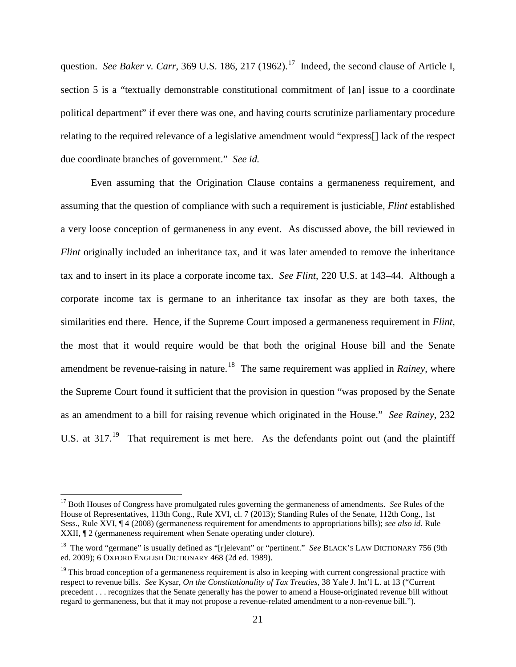question. *See Baker v. Carr*, 369 U.S. 186, 2[17](#page-20-0) (1962).<sup>17</sup> Indeed, the second clause of Article I, section 5 is a "textually demonstrable constitutional commitment of [an] issue to a coordinate political department" if ever there was one, and having courts scrutinize parliamentary procedure relating to the required relevance of a legislative amendment would "express[] lack of the respect due coordinate branches of government." *See id.*

Even assuming that the Origination Clause contains a germaneness requirement, and assuming that the question of compliance with such a requirement is justiciable, *Flint* established a very loose conception of germaneness in any event. As discussed above, the bill reviewed in *Flint* originally included an inheritance tax, and it was later amended to remove the inheritance tax and to insert in its place a corporate income tax. *See Flint*, 220 U.S. at 143–44. Although a corporate income tax is germane to an inheritance tax insofar as they are both taxes, the similarities end there. Hence, if the Supreme Court imposed a germaneness requirement in *Flint*, the most that it would require would be that both the original House bill and the Senate amendment be revenue-raising in nature.<sup>[18](#page-20-1)</sup> The same requirement was applied in *Rainey*, where the Supreme Court found it sufficient that the provision in question "was proposed by the Senate as an amendment to a bill for raising revenue which originated in the House." *See Rainey*, 232 U.S. at 317.<sup>[19](#page-20-2)</sup> That requirement is met here. As the defendants point out (and the plaintiff

<span id="page-20-0"></span><sup>&</sup>lt;sup>17</sup> Both Houses of Congress have promulgated rules governing the germaneness of amendments. *See* Rules of the House of Representatives, 113th Cong., Rule XVI, cl. 7 (2013); Standing Rules of the Senate, 112th Cong., 1st Sess., Rule XVI, ¶ 4 (2008) (germaneness requirement for amendments to appropriations bills); *see also id.* Rule XXII, ¶ 2 (germaneness requirement when Senate operating under cloture).

<span id="page-20-1"></span><sup>&</sup>lt;sup>18</sup> The word "germane" is usually defined as "[r]elevant" or "pertinent." *See* BLACK'S LAW DICTIONARY 756 (9th ed. 2009); 6 OXFORD ENGLISH DICTIONARY 468 (2d ed. 1989).

<span id="page-20-2"></span> $19$  This broad conception of a germaneness requirement is also in keeping with current congressional practice with respect to revenue bills. *See* Kysar, *On the Constitutionality of Tax Treaties*, 38 Yale J. Int'l L. at 13 ("Current precedent . . . recognizes that the Senate generally has the power to amend a House-originated revenue bill without regard to germaneness, but that it may not propose a revenue-related amendment to a non-revenue bill.").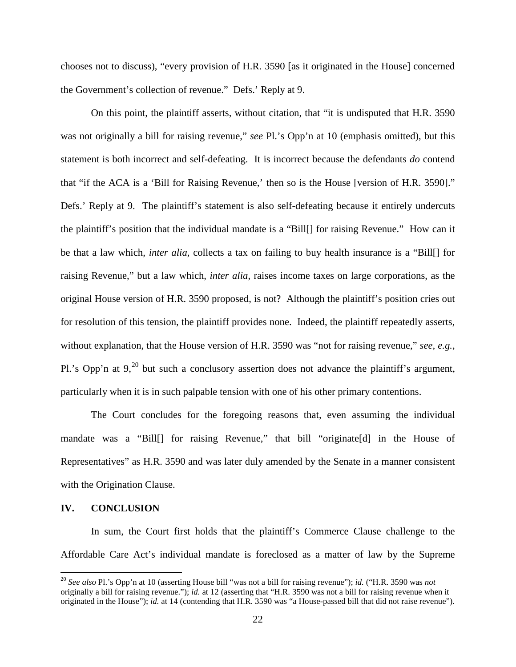chooses not to discuss), "every provision of H.R. 3590 [as it originated in the House] concerned the Government's collection of revenue." Defs.' Reply at 9.

On this point, the plaintiff asserts, without citation, that "it is undisputed that H.R. 3590 was not originally a bill for raising revenue," *see* Pl.'s Opp'n at 10 (emphasis omitted), but this statement is both incorrect and self-defeating. It is incorrect because the defendants *do* contend that "if the ACA is a 'Bill for Raising Revenue,' then so is the House [version of H.R. 3590]." Defs.' Reply at 9. The plaintiff's statement is also self-defeating because it entirely undercuts the plaintiff's position that the individual mandate is a "Bill[] for raising Revenue." How can it be that a law which, *inter alia*, collects a tax on failing to buy health insurance is a "Bill[] for raising Revenue," but a law which, *inter alia*, raises income taxes on large corporations, as the original House version of H.R. 3590 proposed, is not? Although the plaintiff's position cries out for resolution of this tension, the plaintiff provides none. Indeed, the plaintiff repeatedly asserts, without explanation, that the House version of H.R. 3590 was "not for raising revenue," *see, e.g.*, Pl.'s Opp'n at  $9<sub>1</sub><sup>20</sup>$  $9<sub>1</sub><sup>20</sup>$  $9<sub>1</sub><sup>20</sup>$  but such a conclusory assertion does not advance the plaintiff's argument, particularly when it is in such palpable tension with one of his other primary contentions.

The Court concludes for the foregoing reasons that, even assuming the individual mandate was a "Bill[] for raising Revenue," that bill "originate[d] in the House of Representatives" as H.R. 3590 and was later duly amended by the Senate in a manner consistent with the Origination Clause.

### **IV. CONCLUSION**

 $\overline{a}$ 

In sum, the Court first holds that the plaintiff's Commerce Clause challenge to the Affordable Care Act's individual mandate is foreclosed as a matter of law by the Supreme

<span id="page-21-0"></span><sup>20</sup> *See also* Pl.'s Opp'n at 10 (asserting House bill "was not a bill for raising revenue"); *id.* ("H.R. 3590 was *not* originally a bill for raising revenue."); *id.* at 12 (asserting that "H.R. 3590 was not a bill for raising revenue when it originated in the House"); *id.* at 14 (contending that H.R. 3590 was "a House-passed bill that did not raise revenue").